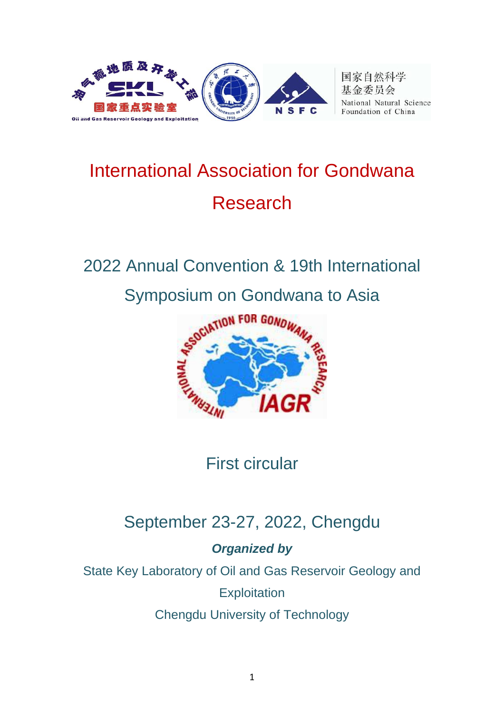

国家自然科学 基金委员会 National Natural Science Foundation of China

# International Association for Gondwana Research

## 2022 Annual Convention & 19th International Symposium on Gondwana to Asia



## First circular

## September 23-27, 2022, Chengdu

#### *Organized by*

State Key Laboratory of Oil and Gas Reservoir Geology and

**Exploitation** 

Chengdu University of Technology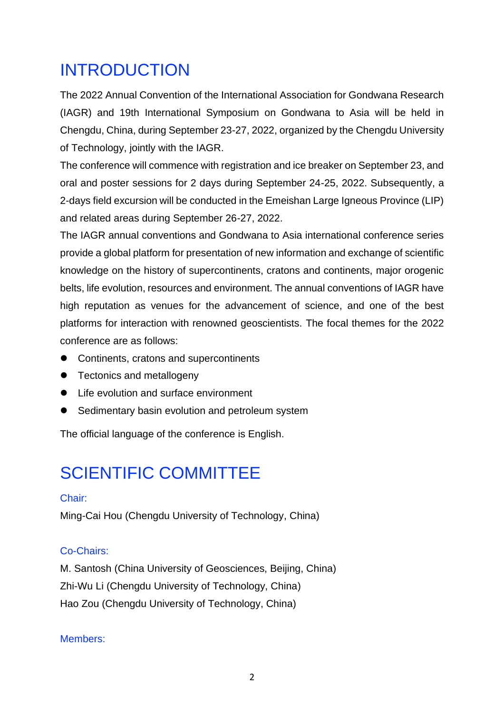### INTRODUCTION

The 2022 Annual Convention of the International Association for Gondwana Research (IAGR) and 19th International Symposium on Gondwana to Asia will be held in Chengdu, China, during September 23-27, 2022, organized by the Chengdu University of Technology, jointly with the IAGR.

The conference will commence with registration and ice breaker on September 23, and oral and poster sessions for 2 days during September 24-25, 2022. Subsequently, a 2-days field excursion will be conducted in the Emeishan Large Igneous Province (LIP) and related areas during September 26-27, 2022.

The IAGR annual conventions and Gondwana to Asia international conference series provide a global platform for presentation of new information and exchange of scientific knowledge on the history of supercontinents, cratons and continents, major orogenic belts, life evolution, resources and environment. The annual conventions of IAGR have high reputation as venues for the advancement of science, and one of the best platforms for interaction with renowned geoscientists. The focal themes for the 2022 conference are as follows:

- ⚫ Continents, cratons and supercontinents
- Tectonics and metallogeny
- Life evolution and surface environment
- Sedimentary basin evolution and petroleum system

The official language of the conference is English.

### SCIENTIFIC COMMITTEE

#### Chair:

Ming-Cai Hou (Chengdu University of Technology, China)

#### Co-Chairs:

M. Santosh (China University of Geosciences, Beijing, China) Zhi-Wu Li (Chengdu University of Technology, China) Hao Zou (Chengdu University of Technology, China)

#### Members: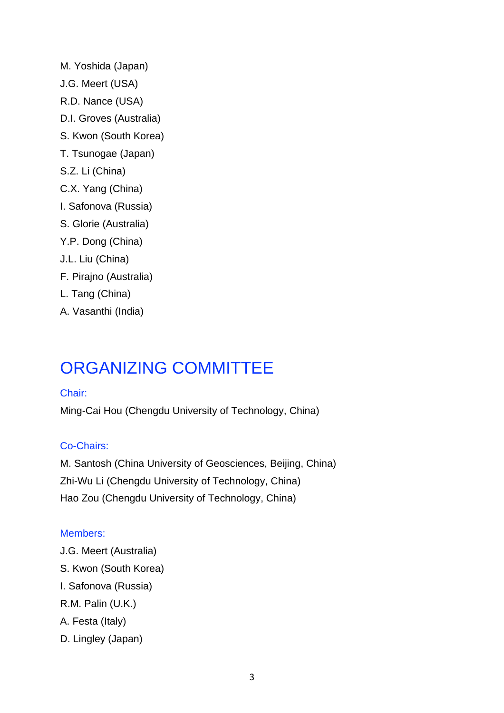- M. Yoshida (Japan) J.G. Meert (USA) R.D. Nance (USA) D.I. Groves (Australia) S. Kwon (South Korea) T. Tsunogae (Japan) S.Z. Li (China) C.X. Yang (China) I. Safonova (Russia) S. Glorie (Australia) Y.P. Dong (China) J.L. Liu (China) F. Pirajno (Australia) L. Tang (China)
- A. Vasanthi (India)

### ORGANIZING COMMITTEE

#### Chair:

Ming-Cai Hou (Chengdu University of Technology, China)

#### Co-Chairs:

M. Santosh (China University of Geosciences, Beijing, China) Zhi-Wu Li (Chengdu University of Technology, China) Hao Zou (Chengdu University of Technology, China)

#### Members:

J.G. Meert (Australia) S. Kwon (South Korea) I. Safonova (Russia) R.M. Palin (U.K.) A. Festa (Italy) D. Lingley (Japan)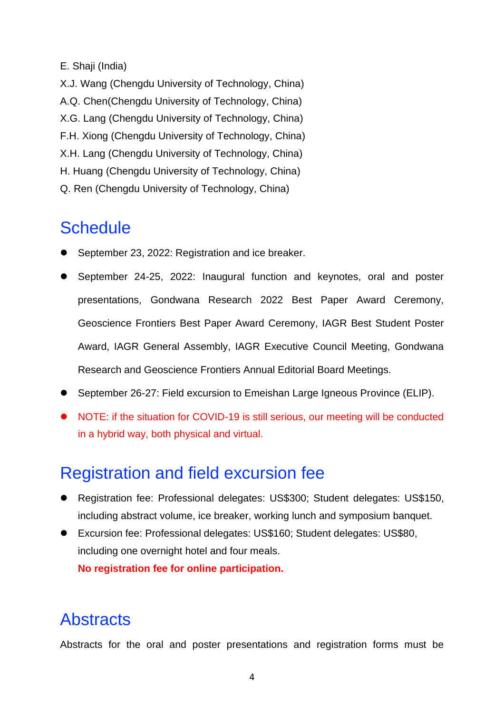#### E. Shaji (India)

X.J. Wang (Chengdu University of Technology, China) A.Q. Chen(Chengdu University of Technology, China) X.G. Lang (Chengdu University of Technology, China) F.H. Xiong (Chengdu University of Technology, China) X.H. Lang (Chengdu University of Technology, China) H. Huang (Chengdu University of Technology, China) Q. Ren (Chengdu University of Technology, China)

### **Schedule**

- ⚫ September 23, 2022: Registration and ice breaker.
- ⚫ September 24-25, 2022: Inaugural function and keynotes, oral and poster presentations, Gondwana Research 2022 Best Paper Award Ceremony, Geoscience Frontiers Best Paper Award Ceremony, IAGR Best Student Poster Award, IAGR General Assembly, IAGR Executive Council Meeting, Gondwana Research and Geoscience Frontiers Annual Editorial Board Meetings.
- September 26-27: Field excursion to Emeishan Large Igneous Province (ELIP).
- NOTE: if the situation for COVID-19 is still serious, our meeting will be conducted in a hybrid way, both physical and virtual.

### Registration and field excursion fee

- ⚫ Registration fee: Professional delegates: US\$300; Student delegates: US\$150, including abstract volume, ice breaker, working lunch and symposium banquet.
- Excursion fee: Professional delegates: US\$160; Student delegates: US\$80, including one overnight hotel and four meals. **No registration fee for online participation.**

### **Abstracts**

Abstracts for the oral and poster presentations and registration forms must be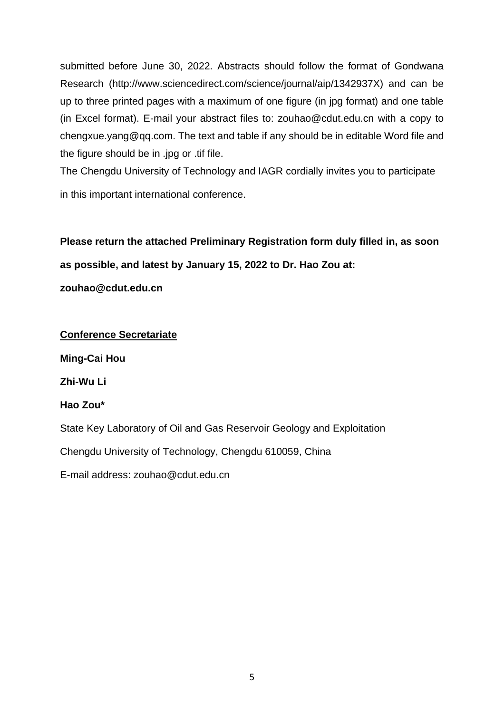submitted before June 30, 2022. Abstracts should follow the format of Gondwana Research (http://www.sciencedirect.com/science/journal/aip/1342937X) and can be up to three printed pages with a maximum of one figure (in jpg format) and one table (in Excel format). E-mail your abstract files to: zouhao@cdut.edu.cn with a copy to chengxue.yang@qq.com. The text and table if any should be in editable Word file and the figure should be in .jpg or .tif file.

The Chengdu University of Technology and IAGR cordially invites you to participate in this important international conference.

**Please return the attached Preliminary Registration form duly filled in, as soon as possible, and latest by January 15, 2022 to Dr. Hao Zou at: zouhao@cdut.edu.cn**

**Conference Secretariate Ming-Cai Hou Zhi-Wu Li Hao Zou\*** State Key Laboratory of Oil and Gas Reservoir Geology and Exploitation Chengdu University of Technology, Chengdu 610059, China E-mail address: zouhao@cdut.edu.cn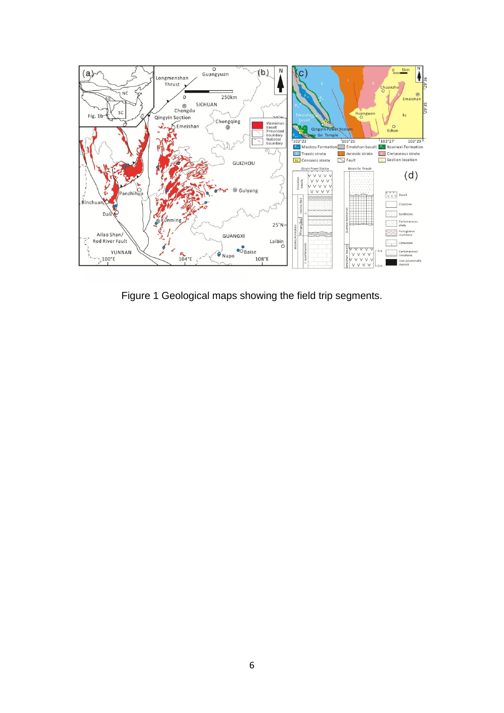

Figure 1 Geological maps showing the field trip segments.